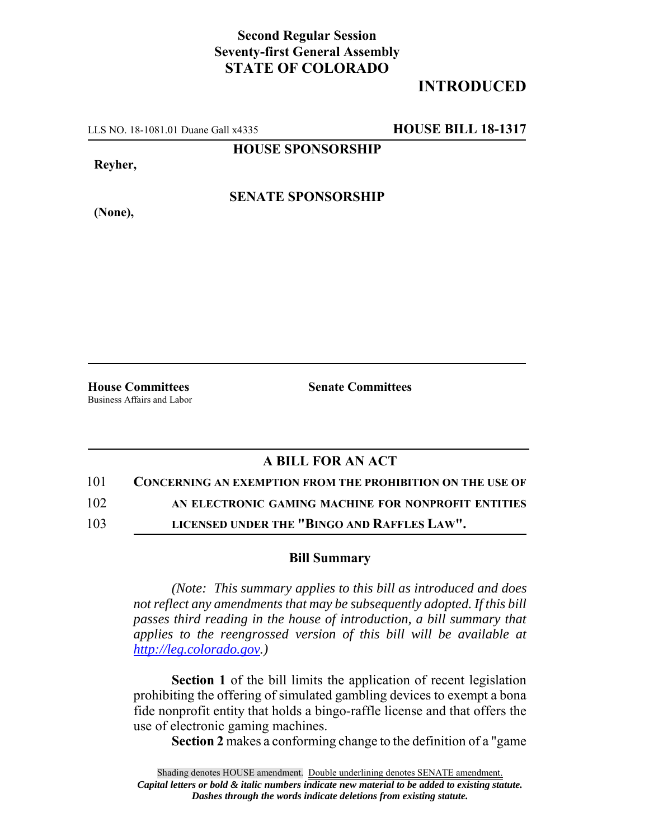## **Second Regular Session Seventy-first General Assembly STATE OF COLORADO**

## **INTRODUCED**

LLS NO. 18-1081.01 Duane Gall x4335 **HOUSE BILL 18-1317**

**HOUSE SPONSORSHIP**

**Reyher,**

**SENATE SPONSORSHIP**

**(None),**

**House Committees Senate Committees** Business Affairs and Labor

## **A BILL FOR AN ACT**

101 **CONCERNING AN EXEMPTION FROM THE PROHIBITION ON THE USE OF**

102 **AN ELECTRONIC GAMING MACHINE FOR NONPROFIT ENTITIES**

103 **LICENSED UNDER THE "BINGO AND RAFFLES LAW".**

## **Bill Summary**

*(Note: This summary applies to this bill as introduced and does not reflect any amendments that may be subsequently adopted. If this bill passes third reading in the house of introduction, a bill summary that applies to the reengrossed version of this bill will be available at http://leg.colorado.gov.)*

**Section 1** of the bill limits the application of recent legislation prohibiting the offering of simulated gambling devices to exempt a bona fide nonprofit entity that holds a bingo-raffle license and that offers the use of electronic gaming machines.

**Section 2** makes a conforming change to the definition of a "game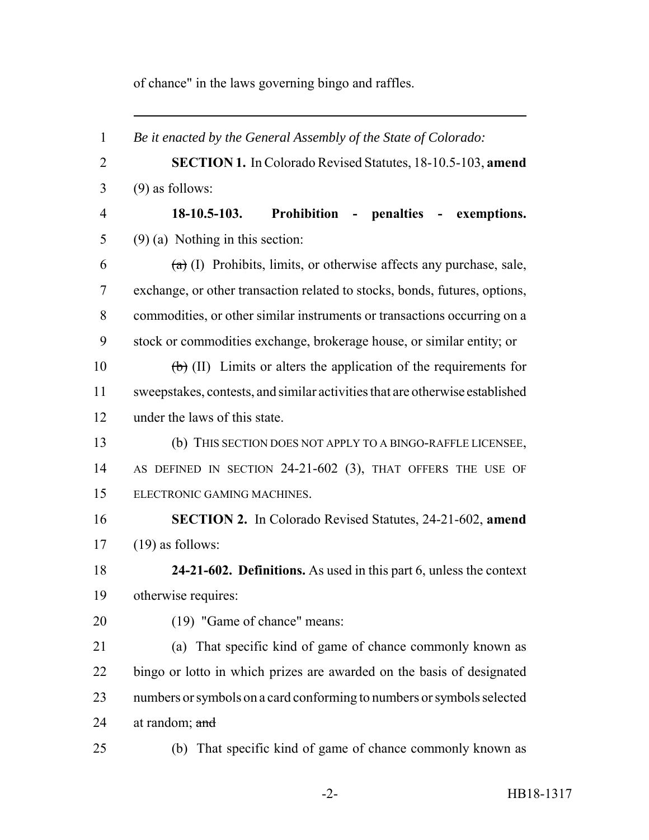of chance" in the laws governing bingo and raffles.

 *Be it enacted by the General Assembly of the State of Colorado:* **SECTION 1.** In Colorado Revised Statutes, 18-10.5-103, **amend** (9) as follows: **18-10.5-103. Prohibition - penalties - exemptions.** (9) (a) Nothing in this section:  $(a)$  (I) Prohibits, limits, or otherwise affects any purchase, sale, exchange, or other transaction related to stocks, bonds, futures, options, commodities, or other similar instruments or transactions occurring on a stock or commodities exchange, brokerage house, or similar entity; or  $\left(\frac{1}{b}\right)$  (II) Limits or alters the application of the requirements for sweepstakes, contests, and similar activities that are otherwise established 12 under the laws of this state. (b) THIS SECTION DOES NOT APPLY TO A BINGO-RAFFLE LICENSEE, 14 AS DEFINED IN SECTION 24-21-602 (3), THAT OFFERS THE USE OF ELECTRONIC GAMING MACHINES. **SECTION 2.** In Colorado Revised Statutes, 24-21-602, **amend** (19) as follows: **24-21-602. Definitions.** As used in this part 6, unless the context otherwise requires: (19) "Game of chance" means: (a) That specific kind of game of chance commonly known as bingo or lotto in which prizes are awarded on the basis of designated numbers or symbols on a card conforming to numbers or symbols selected 24 at random; and (b) That specific kind of game of chance commonly known as